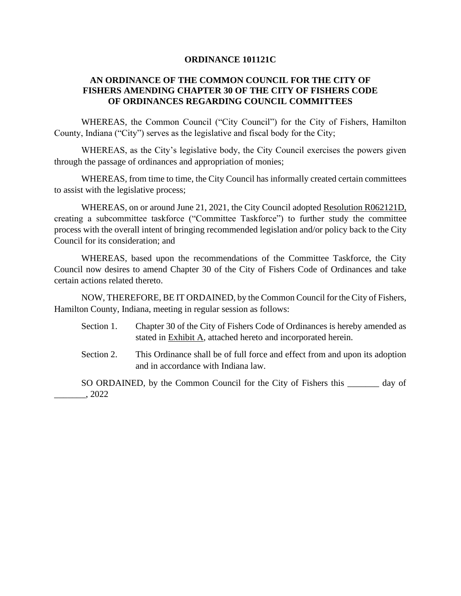#### **ORDINANCE 101121C**

### **AN ORDINANCE OF THE COMMON COUNCIL FOR THE CITY OF FISHERS AMENDING CHAPTER 30 OF THE CITY OF FISHERS CODE OF ORDINANCES REGARDING COUNCIL COMMITTEES**

WHEREAS, the Common Council ("City Council") for the City of Fishers, Hamilton County, Indiana ("City") serves as the legislative and fiscal body for the City;

WHEREAS, as the City's legislative body, the City Council exercises the powers given through the passage of ordinances and appropriation of monies;

WHEREAS, from time to time, the City Council has informally created certain committees to assist with the legislative process;

WHEREAS, on or around June 21, 2021, the City Council adopted Resolution R062121D, creating a subcommittee taskforce ("Committee Taskforce") to further study the committee process with the overall intent of bringing recommended legislation and/or policy back to the City Council for its consideration; and

WHEREAS, based upon the recommendations of the Committee Taskforce, the City Council now desires to amend Chapter 30 of the City of Fishers Code of Ordinances and take certain actions related thereto.

NOW, THEREFORE, BE IT ORDAINED, by the Common Council for the City of Fishers, Hamilton County, Indiana, meeting in regular session as follows:

- Section 1. Chapter 30 of the City of Fishers Code of Ordinances is hereby amended as stated in Exhibit A, attached hereto and incorporated herein.
- Section 2. This Ordinance shall be of full force and effect from and upon its adoption and in accordance with Indiana law.
- SO ORDAINED, by the Common Council for the City of Fishers this \_\_\_\_\_\_\_ day of \_\_\_\_\_\_\_, 2022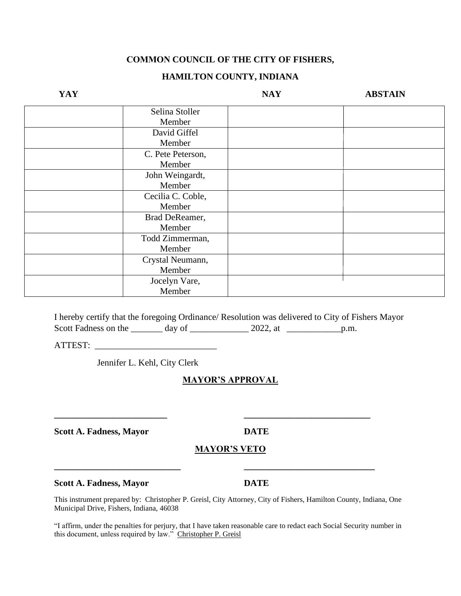### **COMMON COUNCIL OF THE CITY OF FISHERS,**

### **HAMILTON COUNTY, INDIANA**

| YAY |                   | <b>NAY</b> | <b>ABSTAIN</b> |
|-----|-------------------|------------|----------------|
|     | Selina Stoller    |            |                |
|     | Member            |            |                |
|     | David Giffel      |            |                |
|     | Member            |            |                |
|     | C. Pete Peterson, |            |                |
|     | Member            |            |                |
|     | John Weingardt,   |            |                |
|     | Member            |            |                |
|     | Cecilia C. Coble, |            |                |
|     | Member            |            |                |
|     | Brad DeReamer,    |            |                |
|     | Member            |            |                |
|     | Todd Zimmerman,   |            |                |
|     | Member            |            |                |
|     | Crystal Neumann,  |            |                |
|     | Member            |            |                |
|     | Jocelyn Vare,     |            |                |
|     | Member            |            |                |

I hereby certify that the foregoing Ordinance/ Resolution was delivered to City of Fishers Mayor Scott Fadness on the \_\_\_\_\_\_\_\_ day of \_\_\_\_\_\_\_\_\_\_\_\_\_\_\_ 2022, at \_\_\_\_\_\_\_\_\_\_\_\_\_\_\_\_\_\_\_ p.m.

ATTEST: \_\_\_\_\_\_\_\_\_\_\_\_\_\_\_\_\_\_\_\_\_\_\_\_\_\_\_

Jennifer L. Kehl, City Clerk

# **MAYOR'S APPROVAL**

**\_\_\_\_\_\_\_\_\_\_\_\_\_\_\_\_\_\_\_\_\_\_\_\_\_ \_\_\_\_\_\_\_\_\_\_\_\_\_\_\_\_\_\_\_\_\_\_\_\_\_\_\_\_**

**\_\_\_\_\_\_\_\_\_\_\_\_\_\_\_\_\_\_\_\_\_\_\_\_\_\_\_\_ \_\_\_\_\_\_\_\_\_\_\_\_\_\_\_\_\_\_\_\_\_\_\_\_\_\_\_\_\_**

**Scott A. Fadness, Mayor DATE**

### **MAYOR'S VETO**

**Scott A. Fadness, Mayor DATE**

This instrument prepared by: Christopher P. Greisl, City Attorney, City of Fishers, Hamilton County, Indiana, One Municipal Drive, Fishers, Indiana, 46038

"I affirm, under the penalties for perjury, that I have taken reasonable care to redact each Social Security number in this document, unless required by law." Christopher P. Greisl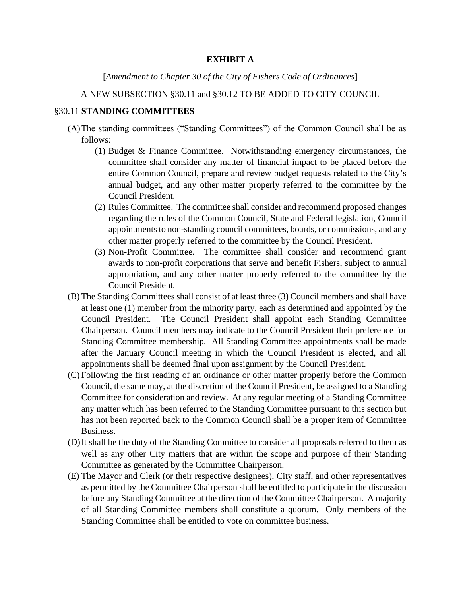## **EXHIBIT A**

### [*Amendment to Chapter 30 of the City of Fishers Code of Ordinances*]

### A NEW SUBSECTION §30.11 and §30.12 TO BE ADDED TO CITY COUNCIL

#### §30.11 **STANDING COMMITTEES**

- (A)The standing committees ("Standing Committees") of the Common Council shall be as follows:
	- (1) Budget & Finance Committee. Notwithstanding emergency circumstances, the committee shall consider any matter of financial impact to be placed before the entire Common Council, prepare and review budget requests related to the City's annual budget, and any other matter properly referred to the committee by the Council President.
	- (2) Rules Committee. The committee shall consider and recommend proposed changes regarding the rules of the Common Council, State and Federal legislation, Council appointments to non-standing council committees, boards, or commissions, and any other matter properly referred to the committee by the Council President.
	- (3) Non-Profit Committee. The committee shall consider and recommend grant awards to non-profit corporations that serve and benefit Fishers, subject to annual appropriation, and any other matter properly referred to the committee by the Council President.
- (B) The Standing Committees shall consist of at least three (3) Council members and shall have at least one (1) member from the minority party, each as determined and appointed by the Council President. The Council President shall appoint each Standing Committee Chairperson. Council members may indicate to the Council President their preference for Standing Committee membership. All Standing Committee appointments shall be made after the January Council meeting in which the Council President is elected, and all appointments shall be deemed final upon assignment by the Council President.
- (C) Following the first reading of an ordinance or other matter properly before the Common Council, the same may, at the discretion of the Council President, be assigned to a Standing Committee for consideration and review. At any regular meeting of a Standing Committee any matter which has been referred to the Standing Committee pursuant to this section but has not been reported back to the Common Council shall be a proper item of Committee Business.
- (D)It shall be the duty of the Standing Committee to consider all proposals referred to them as well as any other City matters that are within the scope and purpose of their Standing Committee as generated by the Committee Chairperson.
- (E) The Mayor and Clerk (or their respective designees), City staff, and other representatives as permitted by the Committee Chairperson shall be entitled to participate in the discussion before any Standing Committee at the direction of the Committee Chairperson. A majority of all Standing Committee members shall constitute a quorum. Only members of the Standing Committee shall be entitled to vote on committee business.